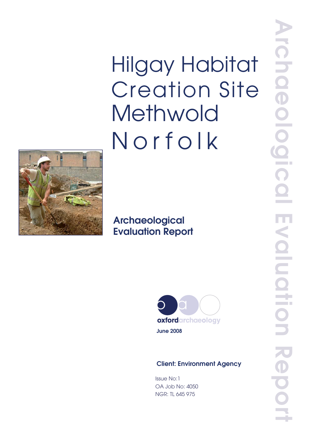**Hilgay Habitat Creation Site** Methwold Norfolk



# Archaeological **Evaluation Report**



**June 2008** 

## **Client: Environment Agency**

**Issue No:1** OA Job No: 4050 **NGR: TL 645 975**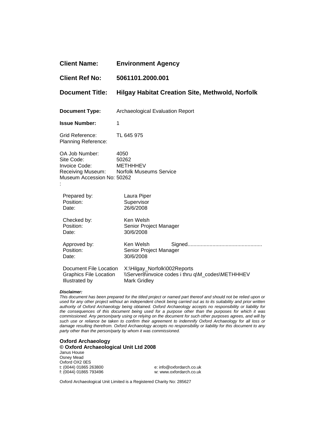| <b>Client Name:</b>                                                         | <b>Environment Agency</b>                                                                                |
|-----------------------------------------------------------------------------|----------------------------------------------------------------------------------------------------------|
| <b>Client Ref No:</b>                                                       | 5061101.2000.001                                                                                         |
| <b>Document Title:</b>                                                      | <b>Hilgay Habitat Creation Site, Methwold, Norfolk</b>                                                   |
| <b>Document Type:</b>                                                       | Archaeological Evaluation Report                                                                         |
| <b>Issue Number:</b>                                                        | $\mathbf 1$                                                                                              |
| Grid Reference:<br><b>Planning Reference:</b>                               | TL 645 975                                                                                               |
| OA Job Number:<br>Site Code:<br>Invoice Code:<br>Museum Accession No: 50262 | 4050<br>50262<br><b>METHHHEV</b><br>Receiving Museum: Norfolk Museums Service                            |
| Prepared by:<br>Position:<br>Date:                                          | Laura Piper<br>Supervisor<br>26/6/2008                                                                   |
| Checked by:<br>Position:<br>Date:                                           | Ken Welsh<br>Senior Project Manager<br>30/6/2008                                                         |
| Approved by:<br>Position:<br>Date:                                          | Ken Welsh<br>Senior Project Manager<br>30/6/2008                                                         |
| Document File Location<br><b>Graphics File Location</b><br>Illustrated by   | X:\Hilgay_Norfolk\002Reports<br>\\Server8\invoice codes i thru q\M_codes\METHHHEV<br><b>Mark Gridley</b> |

#### **Disclaimer:**

This document has been prepared for the titled project or named part thereof and should not be relied upon or used for any other project without an independent check being carried out as to its suitability and prior written authority of Oxford Archaeology being obtained. Oxford Archaeology accepts no responsibility or liability for the consequences of this document being used for a purpose other than the purposes for which it was commissioned. Any person/party using or relying on the document for such other purposes agrees, and will by such use or reliance be taken to confirm their agreement to indemnify Oxford Archaeology for all loss or damage resulting therefrom. Oxford Archaeology accepts no responsibility or liability for this document to any party other than the person/party by whom it was commissioned.

#### **Oxford Archaeology © Oxford Archaeological Unit Ltd 2008**

Janus House Osney Mead Oxford OX2 0ES t: (0044) 01865 263800 e: info@oxfordarch.co.uk

w: www.oxfordarch.co.uk

Oxford Archaeological Unit Limited is a Registered Charity No: 285627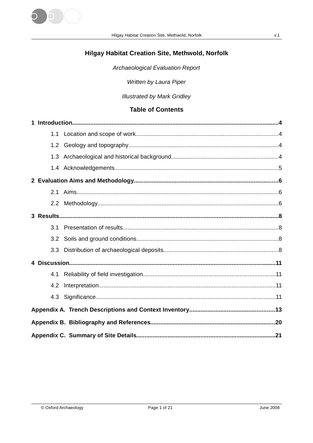

# Hilgay Habitat Creation Site, Methwold, Norfolk

Archaeological Evaluation Report

Written by Laura Piper

**Illustrated by Mark Gridley** 

# **Table of Contents**

| 1.1 |  |
|-----|--|
| 1.2 |  |
| 1.3 |  |
|     |  |
|     |  |
| 2.1 |  |
|     |  |
|     |  |
| 3.1 |  |
| 3.2 |  |
| 3.3 |  |
|     |  |
| 4.1 |  |
| 4.2 |  |
|     |  |
|     |  |
|     |  |
|     |  |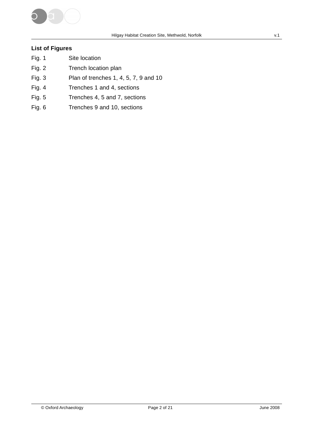

### **List of Figures**

- Fig. 1 Site location
- Fig. 2 Trench location plan
- Fig. 3 Plan of trenches 1, 4, 5, 7, 9 and 10
- Fig. 4 Trenches 1 and 4, sections
- Fig. 5 Trenches 4, 5 and 7, sections
- Fig. 6 Trenches 9 and 10, sections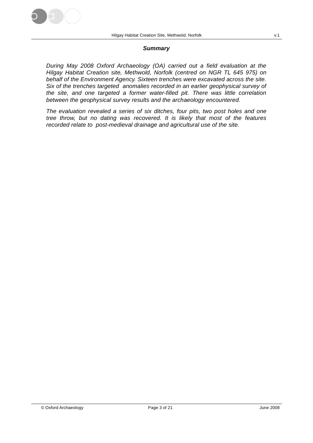

#### **Summary**

During May 2008 Oxford Archaeology (OA) carried out a field evaluation at the Hilgay Habitat Creation site, Methwold, Norfolk (centred on NGR TL 645 975) on behalf of the Environment Agency. Sixteen trenches were excavated across the site. Six of the trenches targeted anomalies recorded in an earlier geophysical survey of the site, and one targeted a former water-filled pit. There was little correlation between the geophysical survey results and the archaeology encountered.

The evaluation revealed a series of six ditches, four pits, two post holes and one tree throw, but no dating was recovered. It is likely that most of the features recorded relate to post-medieval drainage and agricultural use of the site.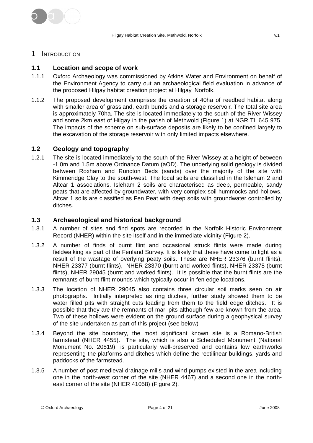

### 1 INTRODUCTION

### **1.1 Location and scope of work**

- 1.1.1 Oxford Archaeology was commissioned by Atkins Water and Environment on behalf of the Environment Agency to carry out an archaeological field evaluation in advance of the proposed Hilgay habitat creation project at Hilgay, Norfolk.
- 1.1.2 The proposed development comprises the creation of 40ha of reedbed habitat along with smaller area of grassland, earth bunds and a storage reservoir. The total site area is approximately 70ha. The site is located immediately to the south of the River Wissey and some 2km east of Hilgay in the parish of Methwold (Figure 1) at NGR TL 645 975. The impacts of the scheme on sub-surface deposits are likely to be confined largely to the excavation of the storage reservoir with only limited impacts elsewhere.

### **1.2 Geology and topography**

1.2.1 The site is located immediately to the south of the River Wissey at a height of between -1.0m and 1.5m above Ordnance Datum (aOD). The underlying solid geology is divided between Roxham and Runcton Beds (sands) over the majority of the site with Kimmeridge Clay to the south-west. The local soils are classified in the Isleham 2 and Altcar 1 associations. Isleham 2 soils are characterised as deep, permeable, sandy peats that are affected by groundwater, with very complex soil hummocks and hollows. Altcar 1 soils are classified as Fen Peat with deep soils with groundwater controlled by ditches.

### **1.3 Archaeological and historical background**

- 1.3.1 A number of sites and find spots are recorded in the Norfolk Historic Environment Record (NHER) within the site itself and in the immediate vicinity (Figure 2).
- 1.3.2 A number of finds of burnt flint and occasional struck flints were made during fieldwalking as part of the Fenland Survey. It is likely that these have come to light as a result of the wastage of overlying peaty soils. These are NHER 23376 (burnt flints), NHER 23377 (burnt flints), NHER 23370 (burnt and worked flints), NHER 23378 (burnt flints), NHER 29045 (burnt and worked flints). It is possible that the burnt flints are the remnants of burnt flint mounds which typically occur in fen edge locations.
- 1.3.3 The location of NHER 29045 also contains three circular soil marks seen on air photographs. Initially interpreted as ring ditches, further study showed them to be water filled pits with straight cuts leading from them to the field edge ditches. It is possible that they are the remnants of marl pits although few are known from the area. Two of these hollows were evident on the ground surface during a geophysical survey of the site undertaken as part of this project (see below)
- 1.3.4 Beyond the site boundary, the most significant known site is a Romano-British farmstead (NHER 4455). The site, which is also a Scheduled Monument (National Monument No. 20819), is particularly well-preserved and contains low earthworks representing the platforms and ditches which define the rectilinear buildings, yards and paddocks of the farmstead.
- 1.3.5 A number of post-medieval drainage mills and wind pumps existed in the area including one in the north-west corner of the site (NHER 4467) and a second one in the northeast corner of the site (NHER 41058) (Figure 2).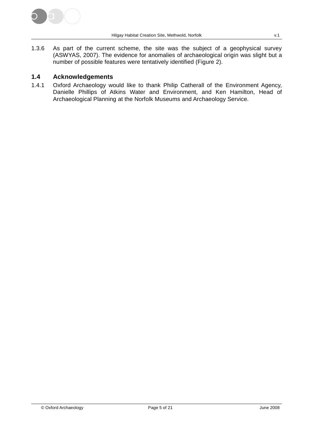

1.3.6 As part of the current scheme, the site was the subject of a geophysical survey (ASWYAS, 2007). The evidence for anomalies of archaeological origin was slight but a number of possible features were tentatively identified (Figure 2).

### **1.4 Acknowledgements**

1.4.1 Oxford Archaeology would like to thank Philip Catherall of the Environment Agency, Danielle Phillips of Atkins Water and Environment, and Ken Hamilton, Head of Archaeological Planning at the Norfolk Museums and Archaeology Service.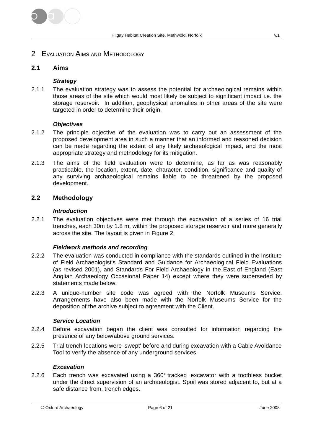

### 2 EVALUATION AIMS AND METHODOLOGY

### **2.1 Aims**

### **Strategy**

2.1.1 The evaluation strategy was to assess the potential for archaeological remains within those areas of the site which would most likely be subject to significant impact i.e. the storage reservoir. In addition, geophysical anomalies in other areas of the site were targeted in order to determine their origin.

### **Objectives**

- 2.1.2 The principle objective of the evaluation was to carry out an assessment of the proposed development area in such a manner that an informed and reasoned decision can be made regarding the extent of any likely archaeological impact, and the most appropriate strategy and methodology for its mitigation.
- 2.1.3 The aims of the field evaluation were to determine, as far as was reasonably practicable, the location, extent, date, character, condition, significance and quality of any surviving archaeological remains liable to be threatened by the proposed development.

### **2.2 Methodology**

### **Introduction**

2.2.1 The evaluation objectives were met through the excavation of a series of 16 trial trenches, each 30m by 1.8 m, within the proposed storage reservoir and more generally across the site. The layout is given in Figure 2.

### **Fieldwork methods and recording**

- 2.2.2 The evaluation was conducted in compliance with the standards outlined in the Institute of Field Archaeologist's Standard and Guidance for Archaeological Field Evaluations (as revised 2001), and Standards For Field Archaeology in the East of England (East Anglian Archaeology Occasional Paper 14) except where they were superseded by statements made below:
- 2.2.3 A unique-number site code was agreed with the Norfolk Museums Service. Arrangements have also been made with the Norfolk Museums Service for the deposition of the archive subject to agreement with the Client.

#### **Service Location**

- 2.2.4 Before excavation began the client was consulted for information regarding the presence of any below/above ground services.
- 2.2.5 Trial trench locations were 'swept' before and during excavation with a Cable Avoidance Tool to verify the absence of any underground services.

### **Excavation**

2.2.6 Each trench was excavated using a 360° tracked excavator with a toothless bucket under the direct supervision of an archaeologist. Spoil was stored adjacent to, but at a safe distance from, trench edges.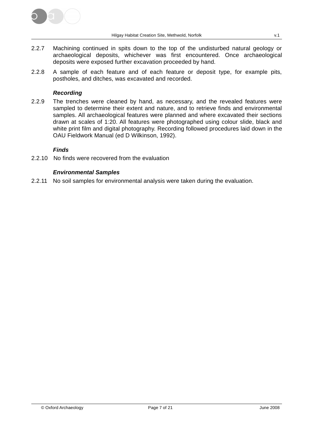

- 2.2.7 Machining continued in spits down to the top of the undisturbed natural geology or archaeological deposits, whichever was first encountered. Once archaeological deposits were exposed further excavation proceeded by hand.
- 2.2.8 A sample of each feature and of each feature or deposit type, for example pits, postholes, and ditches, was excavated and recorded.

### **Recording**

2.2.9 The trenches were cleaned by hand, as necessary, and the revealed features were sampled to determine their extent and nature, and to retrieve finds and environmental samples. All archaeological features were planned and where excavated their sections drawn at scales of 1:20. All features were photographed using colour slide, black and white print film and digital photography. Recording followed procedures laid down in the OAU Fieldwork Manual (ed D Wilkinson, 1992).

### **Finds**

2.2.10 No finds were recovered from the evaluation

### **Environmental Samples**

2.2.11 No soil samples for environmental analysis were taken during the evaluation.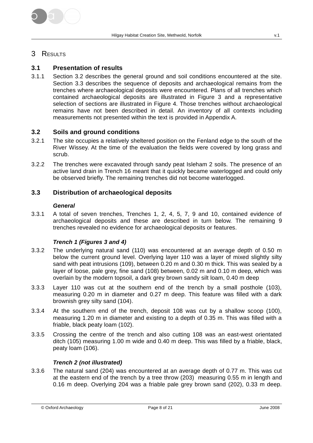

### 3 RESULTS

### **3.1 Presentation of results**

3.1.1 Section 3.2 describes the general ground and soil conditions encountered at the site. Section 3.3 describes the sequence of deposits and archaeological remains from the trenches where archaeological deposits were encountered. Plans of all trenches which contained archaeological deposits are illustrated in Figure 3 and a representative selection of sections are illustrated in Figure 4. Those trenches without archaeological remains have not been described in detail. An inventory of all contexts including measurements not presented within the text is provided in Appendix A.

### **3.2 Soils and ground conditions**

- 3.2.1 The site occupies a relatively sheltered position on the Fenland edge to the south of the River Wissey. At the time of the evaluation the fields were covered by long grass and scrub.
- 3.2.2 The trenches were excavated through sandy peat Isleham 2 soils. The presence of an active land drain in Trench 16 meant that it quickly became waterlogged and could only be observed briefly. The remaining trenches did not become waterlogged.

### **3.3 Distribution of archaeological deposits**

### **General**

3.3.1 A total of seven trenches, Trenches 1, 2, 4, 5, 7, 9 and 10, contained evidence of archaeological deposits and these are described in turn below. The remaining 9 trenches revealed no evidence for archaeological deposits or features.

### **Trench 1 (Figures 3 and 4)**

- 3.3.2 The underlying natural sand (110) was encountered at an average depth of 0.50 m below the current ground level. Overlying layer 110 was a layer of mixed slightly silty sand with peat intrusions (109), between 0.20 m and 0.30 m thick. This was sealed by a layer of loose, pale grey, fine sand (108) between, 0.02 m and 0.10 m deep, which was overlain by the modern topsoil, a dark grey brown sandy silt loam, 0.40 m deep
- 3.3.3 Layer 110 was cut at the southern end of the trench by a small posthole (103), measuring 0.20 m in diameter and 0.27 m deep. This feature was filled with a dark brownish grey silty sand (104).
- 3.3.4 At the southern end of the trench, deposit 108 was cut by a shallow scoop (100), measuring 1.20 m in diameter and existing to a depth of 0.35 m. This was filled with a friable, black peaty loam (102).
- 3.3.5 Crossing the centre of the trench and also cutting 108 was an east-west orientated ditch (105) measuring 1.00 m wide and 0.40 m deep. This was filled by a friable, black, peaty loam (106).

### **Trench 2 (not illustrated)**

3.3.6 The natural sand (204) was encountered at an average depth of 0.77 m. This was cut at the eastern end of the trench by a tree throw (203) measuring 0.55 m in length and 0.16 m deep. Overlying 204 was a friable pale grey brown sand (202), 0.33 m deep.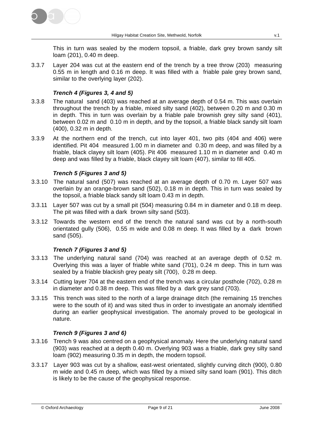

This in turn was sealed by the modern topsoil, a friable, dark grey brown sandy silt loam (201), 0.40 m deep.

3.3.7 Layer 204 was cut at the eastern end of the trench by a tree throw (203) measuring 0.55 m in length and 0.16 m deep. It was filled with a friable pale grey brown sand, similar to the overlying layer (202).

### **Trench 4 (Figures 3, 4 and 5)**

- 3.3.8 The natural sand (403) was reached at an average depth of 0.54 m. This was overlain throughout the trench by a friable, mixed silty sand (402), between 0.20 m and 0.30 m in depth. This in turn was overlain by a friable pale brownish grey silty sand (401), between 0.02 m and 0.10 m in depth, and by the topsoil, a friable black sandy silt loam (400), 0.32 m in depth.
- 3.3.9 At the northern end of the trench, cut into layer 401, two pits (404 and 406) were identified. Pit 404 measured 1.00 m in diameter and 0.30 m deep, and was filled by a friable, black clayey silt loam (405). Pit 406 measured 1.10 m in diameter and 0.40 m deep and was filled by a friable, black clayey silt loam (407), similar to fill 405.

### **Trench 5 (Figures 3 and 5)**

- 3.3.10 The natural sand (507) was reached at an average depth of 0.70 m. Layer 507 was overlain by an orange-brown sand (502), 0.18 m in depth. This in turn was sealed by the topsoil, a friable black sandy silt loam 0.43 m in depth.
- 3.3.11 Layer 507 was cut by a small pit (504) measuring 0.84 m in diameter and 0.18 m deep. The pit was filled with a dark brown silty sand (503).
- 3.3.12 Towards the western end of the trench the natural sand was cut by a north-south orientated gully (506), 0.55 m wide and 0.08 m deep. It was filled by a dark brown sand (505).

### **Trench 7 (Figures 3 and 5)**

- 3.3.13 The underlying natural sand (704) was reached at an average depth of 0.52 m. Overlying this was a layer of friable white sand (701), 0.24 m deep. This in turn was sealed by a friable blackish grey peaty silt (700), 0.28 m deep.
- 3.3.14 Cutting layer 704 at the eastern end of the trench was a circular posthole (702), 0.28 m in diameter and 0.38 m deep. This was filled by a dark grey sand (703).
- 3.3.15 This trench was sited to the north of a large drainage ditch (the remaining 15 trenches were to the south of it) and was sited thus in order to investigate an anomaly identified during an earlier geophysical investigation. The anomaly proved to be geological in nature.

### **Trench 9 (Figures 3 and 6)**

- 3.3.16 Trench 9 was also centred on a geophysical anomaly. Here the underlying natural sand (903) was reached at a depth 0.40 m. Overlying 903 was a friable, dark grey silty sand loam (902) measuring 0.35 m in depth, the modern topsoil.
- 3.3.17 Layer 903 was cut by a shallow, east-west orientated, slightly curving ditch (900), 0.80 m wide and 0.45 m deep, which was filled by a mixed silty sand loam (901). This ditch is likely to be the cause of the geophysical response.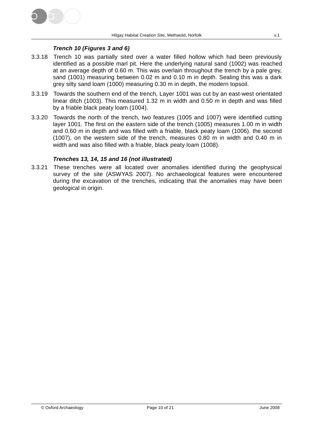

### **Trench 10 (Figures 3 and 6)**

- 3.3.18 Trench 10 was partially sited over a water filled hollow which had been previously identified as a possible marl pit. Here the underlying natural sand (1002) was reached at an average depth of 0.60 m. This was overlain throughout the trench by a pale grey, sand (1001) measuring between 0.02 m and 0.10 m in depth. Sealing this was a dark grey silty sand loam (1000) measuring 0.30 m in depth, the modern topsoil.
- 3.3.19 Towards the southern end of the trench, Layer 1001 was cut by an east-west orientated linear ditch (1003). This measured 1.32 m in width and 0.50 m in depth and was filled by a friable black peaty loam (1004).
- 3.3.20 Towards the north of the trench, two features (1005 and 1007) were identified cutting layer 1001. The first on the eastern side of the trench (1005) measures 1.00 m in width and 0.60 m in depth and was filled with a friable, black peaty loam (1006). the second (1007), on the western side of the trench, measures 0.80 m in width and 0.40 m in width and was also filled with a friable, black peaty loam (1008).

### **Trenches 13, 14, 15 and 16 (not illustrated)**

3.3.21 These trenches were all located over anomalies identified during the geophysical survey of the site (ASWYAS 2007). No archaeological features were encountered during the excavation of the trenches, indicating that the anomalies may have been geological in origin.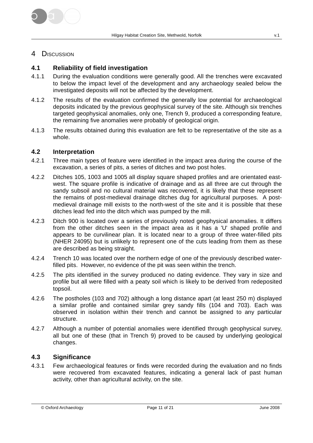

### 4 DISCUSSION

### **4.1 Reliability of field investigation**

- 4.1.1 During the evaluation conditions were generally good. All the trenches were excavated to below the impact level of the development and any archaeology sealed below the investigated deposits will not be affected by the development.
- 4.1.2 The results of the evaluation confirmed the generally low potential for archaeological deposits indicated by the previous geophysical survey of the site. Although six trenches targeted geophysical anomalies, only one, Trench 9, produced a corresponding feature, the remaining five anomalies were probably of geological origin.
- 4.1.3 The results obtained during this evaluation are felt to be representative of the site as a whole.

### **4.2 Interpretation**

- 4.2.1 Three main types of feature were identified in the impact area during the course of the excavation, a series of pits, a series of ditches and two post holes.
- 4.2.2 Ditches 105, 1003 and 1005 all display square shaped profiles and are orientated eastwest. The square profile is indicative of drainage and as all three are cut through the sandy subsoil and no cultural material was recovered, it is likely that these represent the remains of post-medieval drainage ditches dug for agricultural purposes. A postmedieval drainage mill exists to the north-west of the site and it is possible that these ditches lead fed into the ditch which was pumped by the mill.
- 4.2.3 Ditch 900 is located over a series of previously noted geophysical anomalies. It differs from the other ditches seen in the impact area as it has a 'U' shaped profile and appears to be curvilinear plan. It is located near to a group of three water-filled pits (NHER 24095) but is unlikely to represent one of the cuts leading from them as these are described as being straight.
- 4.2.4 Trench 10 was located over the northern edge of one of the previously described waterfilled pits. However, no evidence of the pit was seen within the trench.
- 4.2.5 The pits identified in the survey produced no dating evidence. They vary in size and profile but all were filled with a peaty soil which is likely to be derived from redeposited topsoil.
- 4.2.6 The postholes (103 and 702) although a long distance apart (at least 250 m) displayed a similar profile and contained similar grey sandy fills (104 and 703). Each was observed in isolation within their trench and cannot be assigned to any particular structure.
- 4.2.7 Although a number of potential anomalies were identified through geophysical survey, all but one of these (that in Trench 9) proved to be caused by underlying geological changes.

### **4.3 Significance**

4.3.1 Few archaeological features or finds were recorded during the evaluation and no finds were recovered from excavated features, indicating a general lack of past human activity, other than agricultural activity, on the site.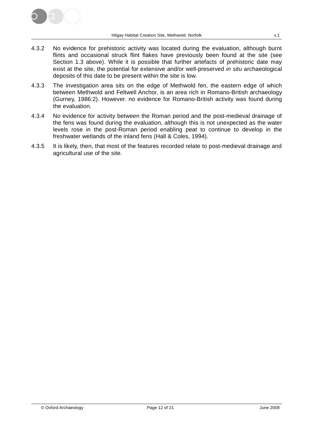

- 4.3.2 No evidence for prehistoric activity was located during the evaluation, although burnt flints and occasional struck flint flakes have previously been found at the site (see Section 1.3 above). While it is possible that further artefacts of prehistoric date may exist at the site, the potential for extensive and/or well-preserved in situ archaeological deposits of this date to be present within the site is low.
- 4.3.3 The investigation area sits on the edge of Methwold fen, the eastern edge of which between Methwold and Feltwell Anchor, is an area rich in Romano-British archaeology (Gurney, 1986:2). However. no evidence for Romano-British activity was found during the evaluation.
- 4.3.4 No evidence for activity between the Roman period and the post-medieval drainage of the fens was found during the evaluation, although this is not unexpected as the water levels rose in the post-Roman period enabling peat to continue to develop in the freshwater wetlands of the inland fens (Hall & Coles, 1994).
- 4.3.5 It is likely, then, that most of the features recorded relate to post-medieval drainage and agricultural use of the site.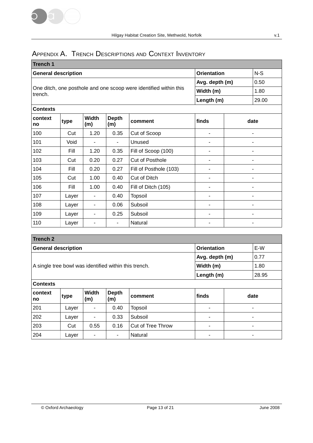# APPENDIX A. TRENCH DESCRIPTIONS AND CONTEXT INVENTORY

| Trench 1                   |       |                     |                     |                                                                   |            |       |  |  |  |
|----------------------------|-------|---------------------|---------------------|-------------------------------------------------------------------|------------|-------|--|--|--|
| <b>General description</b> |       |                     |                     | <b>Orientation</b>                                                | $N-S$      |       |  |  |  |
|                            |       |                     | Avg. depth (m)      | 0.50                                                              |            |       |  |  |  |
| trench.                    |       |                     |                     | One ditch, one posthole and one scoop were identified within this | Width (m)  | 1.80  |  |  |  |
|                            |       |                     |                     |                                                                   | Length (m) | 29.00 |  |  |  |
| <b>Contexts</b>            |       |                     |                     |                                                                   |            |       |  |  |  |
| context<br>no              | type  | <b>Width</b><br>(m) | <b>Depth</b><br>(m) | comment                                                           | finds      | date  |  |  |  |
| 100                        | Cut   | 1.20                | 0.35                | Cut of Scoop                                                      | ۰          | ۰     |  |  |  |
| 101                        | Void  | ۰                   | $\blacksquare$      | Unused                                                            | -          | ۰     |  |  |  |
| 102                        | Fill  | 1.20                | 0.35                | Fill of Scoop (100)                                               | -          | ۰     |  |  |  |
| 103                        | Cut   | 0.20                | 0.27                | Cut of Posthole                                                   | ۰          | ۰     |  |  |  |
| 104                        | Fill  | 0.20                | 0.27                | Fill of Posthole (103)                                            | -          | ۰     |  |  |  |
| 105                        | Cut   | 1.00                | 0.40                | Cut of Ditch                                                      | ۰          | -     |  |  |  |
| 106                        | Fill  | 1.00                | 0.40                | Fill of Ditch (105)                                               | ۰          | ۰     |  |  |  |
| 107                        | Layer | -                   | 0.40                | <b>Topsoil</b>                                                    | ۰          | ٠     |  |  |  |
| 108                        | Layer | -                   | 0.06                | Subsoil                                                           | ۰          | ٠     |  |  |  |
| 109                        | Layer | ٠                   | 0.25                | Subsoil                                                           | ۰          |       |  |  |  |
| 110                        | Layer | ۰                   | ٠                   | Natural                                                           | ۰          |       |  |  |  |

| <b>Trench 2</b>                                         |                                                      |                     |                     |                          |                |      |  |  |  |
|---------------------------------------------------------|------------------------------------------------------|---------------------|---------------------|--------------------------|----------------|------|--|--|--|
| E-W<br><b>General description</b><br><b>Orientation</b> |                                                      |                     |                     |                          |                |      |  |  |  |
|                                                         |                                                      |                     |                     |                          | Avg. depth (m) | 0.77 |  |  |  |
| A single tree bowl was identified within this trench.   |                                                      |                     |                     |                          | Width (m)      | 1.80 |  |  |  |
|                                                         |                                                      |                     | Length (m)          | 28.95                    |                |      |  |  |  |
| <b>Contexts</b>                                         |                                                      |                     |                     |                          |                |      |  |  |  |
| context<br>no                                           | type                                                 | <b>Width</b><br>(m) | <b>Depth</b><br>(m) | comment                  | finds          | date |  |  |  |
| 201                                                     | Layer                                                |                     | 0.40                | <b>Topsoil</b>           |                |      |  |  |  |
| 202                                                     | 0.33<br>Subsoil<br>Layer<br>٠<br>۰<br>$\blacksquare$ |                     |                     |                          |                |      |  |  |  |
| 203                                                     | Cut                                                  | 0.55                | 0.16                | <b>Cut of Tree Throw</b> |                |      |  |  |  |
| 204<br>Natural<br>Layer<br>٠.<br>۰<br>۰                 |                                                      |                     |                     |                          |                |      |  |  |  |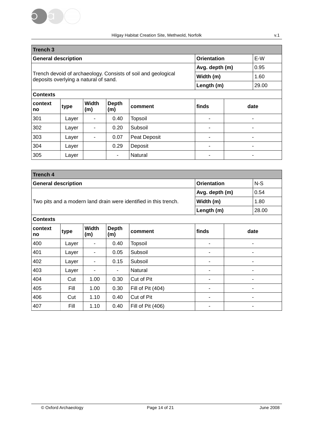

| <b>Trench 3</b>                                         |                                    |                     |                |                                                               |            |       |  |  |
|---------------------------------------------------------|------------------------------------|---------------------|----------------|---------------------------------------------------------------|------------|-------|--|--|
| <b>General description</b><br><b>Orientation</b><br>E-W |                                    |                     |                |                                                               |            |       |  |  |
|                                                         |                                    |                     | Avg. depth (m) | 0.95                                                          |            |       |  |  |
| deposits overlying a natural of sand.                   |                                    |                     |                | Trench devoid of archaeology. Consists of soil and geological | Width (m)  | 1.60  |  |  |
|                                                         |                                    |                     |                |                                                               | Length (m) | 29.00 |  |  |
| <b>Contexts</b>                                         |                                    |                     |                |                                                               |            |       |  |  |
| context<br>no                                           | type                               | <b>Width</b><br>(m) | Depth<br>(m)   | comment                                                       | finds      | date  |  |  |
| 301                                                     | Layer                              | ٠                   | 0.40           | <b>Topsoil</b>                                                | ۰          |       |  |  |
| 302                                                     | Layer                              | ٠                   | 0.20           | Subsoil                                                       |            |       |  |  |
| 303                                                     | 0.07<br>Peat Deposit<br>Layer<br>٠ |                     |                |                                                               |            |       |  |  |
| 304                                                     | Layer                              |                     | 0.29           | Deposit                                                       |            |       |  |  |
| 305                                                     | Layer                              |                     | ۰              | Natural                                                       |            |       |  |  |

| <b>Trench 4</b> |                                                           |                     |                                                                  |                   |                |       |  |  |  |  |
|-----------------|-----------------------------------------------------------|---------------------|------------------------------------------------------------------|-------------------|----------------|-------|--|--|--|--|
|                 | $N-S$<br><b>Orientation</b><br><b>General description</b> |                     |                                                                  |                   |                |       |  |  |  |  |
|                 |                                                           |                     | Avg. depth (m)                                                   | 0.54              |                |       |  |  |  |  |
|                 |                                                           |                     | Two pits and a modern land drain were identified in this trench. | Width (m)         | 1.80           |       |  |  |  |  |
|                 |                                                           |                     |                                                                  |                   | Length (m)     | 28.00 |  |  |  |  |
| <b>Contexts</b> |                                                           |                     |                                                                  |                   |                |       |  |  |  |  |
| context<br>no   | type                                                      | <b>Width</b><br>(m) | <b>Depth</b><br>(m)                                              | comment           | finds          | date  |  |  |  |  |
| 400             | Layer                                                     | ٠                   | 0.40                                                             | <b>Topsoil</b>    | $\overline{a}$ | ٠     |  |  |  |  |
| 401             | Layer                                                     | ۰                   | 0.05                                                             | Subsoil           |                |       |  |  |  |  |
| 402             | Layer                                                     |                     | 0.15                                                             | Subsoil           |                |       |  |  |  |  |
| 403             | Layer                                                     | $\blacksquare$      |                                                                  | Natural           |                |       |  |  |  |  |
| 404             | Cut                                                       | 1.00                | 0.30                                                             | Cut of Pit        | ۰              | ۰     |  |  |  |  |
| 405             | Fill                                                      | 1.00                | 0.30                                                             | Fill of Pit (404) | ۰              |       |  |  |  |  |
| 406             | Cut                                                       | 1.10                | Cut of Pit                                                       |                   |                |       |  |  |  |  |
| 407             | Fill                                                      | 1.10                | 0.40                                                             | Fill of Pit (406) | ۰              | ۰     |  |  |  |  |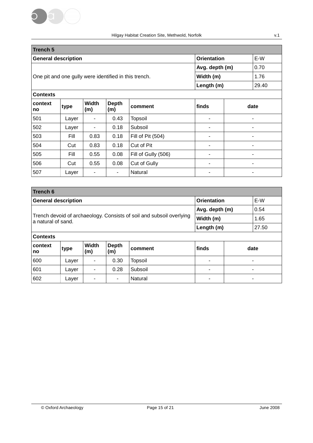

| <b>Trench 5</b>                                       |       |                     |                     |                     |                |      |       |  |
|-------------------------------------------------------|-------|---------------------|---------------------|---------------------|----------------|------|-------|--|
| <b>General description</b>                            |       |                     | <b>Orientation</b>  |                     | E-W            |      |       |  |
|                                                       |       |                     | Avg. depth (m)      |                     | 0.70           |      |       |  |
| One pit and one gully were identified in this trench. |       |                     |                     |                     | Width (m)      |      | 1.76  |  |
|                                                       |       |                     |                     |                     | Length (m)     |      | 29.40 |  |
| <b>Contexts</b>                                       |       |                     |                     |                     |                |      |       |  |
| context<br>no                                         | type  | <b>Width</b><br>(m) | <b>Depth</b><br>(m) | comment             | finds          | date |       |  |
| 501                                                   | Layer | ٠                   | 0.43                | Topsoil             |                | ٠    |       |  |
| 502                                                   | Layer | ۰                   | 0.18                | Subsoil             |                | ۰    |       |  |
| 503                                                   | Fill  | 0.83                | 0.18                | Fill of Pit (504)   |                | ٠    |       |  |
| 504                                                   | Cut   | 0.83                | 0.18                | Cut of Pit          | $\blacksquare$ | ۰    |       |  |
| 505                                                   | Fill  | 0.55                | 0.08                | Fill of Gully (506) |                |      |       |  |
| 506                                                   | Cut   | 0.55                | 0.08                | Cut of Gully        |                |      |       |  |
| 507                                                   | Layer | ۰                   |                     | Natural             |                |      |       |  |

| <b>Trench 6</b>                                         |                                       |              |                                                                      |           |            |      |       |  |  |  |
|---------------------------------------------------------|---------------------------------------|--------------|----------------------------------------------------------------------|-----------|------------|------|-------|--|--|--|
| E-W<br><b>Orientation</b><br><b>General description</b> |                                       |              |                                                                      |           |            |      |       |  |  |  |
|                                                         |                                       |              | Avg. depth (m)                                                       |           | 0.54       |      |       |  |  |  |
| a natural of sand.                                      |                                       |              | Trench devoid of archaeology. Consists of soil and subsoil overlying | Width (m) |            | 1.65 |       |  |  |  |
|                                                         |                                       |              |                                                                      |           | Length (m) |      | 27.50 |  |  |  |
| <b>Contexts</b>                                         |                                       |              |                                                                      |           |            |      |       |  |  |  |
| context<br>no                                           | type                                  | Width<br>(m) | Depth<br>(m)                                                         | comment   | finds      |      | date  |  |  |  |
| 600                                                     | 0.30<br><b>Topsoil</b><br>Layer<br>۰  |              |                                                                      |           |            |      |       |  |  |  |
| 601                                                     | Layer                                 |              | ۰                                                                    |           | ٠          |      |       |  |  |  |
| 602                                                     | Natural<br>Layer<br>۰.<br>۰<br>٠<br>۰ |              |                                                                      |           |            |      |       |  |  |  |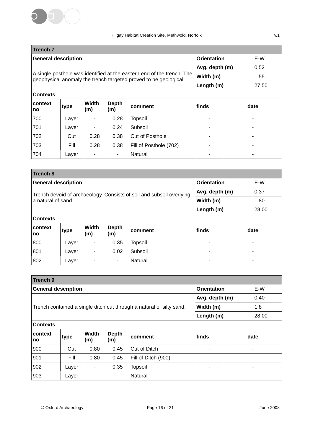

| <b>Trench 7</b>                                         |       |              |                |                                                                                                                                            |            |  |       |  |  |
|---------------------------------------------------------|-------|--------------|----------------|--------------------------------------------------------------------------------------------------------------------------------------------|------------|--|-------|--|--|
| <b>General description</b><br><b>Orientation</b><br>E-W |       |              |                |                                                                                                                                            |            |  |       |  |  |
|                                                         |       |              | Avg. depth (m) |                                                                                                                                            | 0.52       |  |       |  |  |
|                                                         |       |              |                | A single posthole was identified at the eastern end of the trench. The<br>geophysical anomaly the trench targeted proved to be geological. | Width (m)  |  | 1.55  |  |  |
|                                                         |       |              |                |                                                                                                                                            | Length (m) |  | 27.50 |  |  |
| <b>Contexts</b>                                         |       |              |                |                                                                                                                                            |            |  |       |  |  |
| context<br>no                                           | type  | Width<br>(m) | Depth<br>(m)   | comment                                                                                                                                    | finds      |  | date  |  |  |
| 700                                                     | Layer |              | 0.28           | Topsoil                                                                                                                                    |            |  |       |  |  |
| 701                                                     | Layer | ۰            | 0.24           | Subsoil                                                                                                                                    |            |  |       |  |  |
| 702                                                     | Cut   | 0.28         | 0.38           | Cut of Posthole                                                                                                                            | ۰          |  |       |  |  |
| 703                                                     | Fill  | 0.28         | 0.38           | Fill of Posthole (702)                                                                                                                     | ۰          |  |       |  |  |
| 704                                                     | Layer |              |                | Natural                                                                                                                                    |            |  |       |  |  |

| <b>Trench 8</b>                                                      |       |                |                        |         |            |  |       |  |  |
|----------------------------------------------------------------------|-------|----------------|------------------------|---------|------------|--|-------|--|--|
| E-W<br><b>Orientation</b><br><b>General description</b>              |       |                |                        |         |            |  |       |  |  |
| Trench devoid of archaeology. Consists of soil and subsoil overlying |       |                | Avg. depth (m)<br>0.37 |         |            |  |       |  |  |
| a natural of sand.                                                   |       |                |                        |         | Width (m)  |  | 1.80  |  |  |
|                                                                      |       |                |                        |         | Length (m) |  | 28.00 |  |  |
| <b>Contexts</b>                                                      |       |                |                        |         |            |  |       |  |  |
| context<br>no                                                        | type  | Width<br>(m)   | <b>Depth</b><br>(m)    | comment | finds      |  | date  |  |  |
| 800                                                                  | Layer | ۰              | 0.35                   | Topsoil |            |  |       |  |  |
| 801                                                                  | Layer | $\blacksquare$ |                        |         |            |  |       |  |  |
| 802                                                                  | Layer | ۰              | ۰                      | Natural |            |  |       |  |  |

| <b>Trench 9</b>                                         |       |                     |                     |                                                                      |                |      |       |  |  |
|---------------------------------------------------------|-------|---------------------|---------------------|----------------------------------------------------------------------|----------------|------|-------|--|--|
| E-W<br><b>General description</b><br><b>Orientation</b> |       |                     |                     |                                                                      |                |      |       |  |  |
|                                                         |       |                     |                     | Avg. depth (m)                                                       |                | 0.40 |       |  |  |
|                                                         |       |                     |                     | Trench contained a single ditch cut through a natural of silty sand. | Width (m)      |      | 1.8   |  |  |
|                                                         |       |                     |                     |                                                                      | Length (m)     |      | 28.00 |  |  |
| <b>Contexts</b>                                         |       |                     |                     |                                                                      |                |      |       |  |  |
| context<br>no                                           | type  | <b>Width</b><br>(m) | Depth<br>(m)        | comment                                                              | finds          |      | date  |  |  |
| 900                                                     | Cut   | 0.80                | 0.45                | Cut of Ditch                                                         | $\blacksquare$ |      | ۰     |  |  |
| 901                                                     | Fill  | 0.80                | Fill of Ditch (900) |                                                                      |                |      |       |  |  |
| 902                                                     | Layer |                     | 0.35                | <b>Topsoil</b>                                                       | $\blacksquare$ |      | ۰     |  |  |
| 903                                                     | Layer | -                   | Natural             |                                                                      |                |      |       |  |  |

© Oxford Archaeology Page 16 of 21 June 2008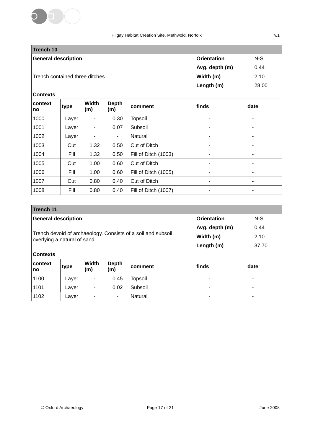

| <b>Trench 10</b>                                 |       |                     |                     |                      |                |       |  |  |  |
|--------------------------------------------------|-------|---------------------|---------------------|----------------------|----------------|-------|--|--|--|
| <b>General description</b><br><b>Orientation</b> |       |                     |                     |                      |                |       |  |  |  |
|                                                  |       |                     | Avg. depth (m)      | 0.44                 |                |       |  |  |  |
| Trench contained three ditches.                  |       |                     |                     |                      | Width (m)      | 2.10  |  |  |  |
|                                                  |       |                     |                     |                      | Length (m)     | 28.00 |  |  |  |
| <b>Contexts</b>                                  |       |                     |                     |                      |                |       |  |  |  |
| context<br>no                                    | type  | <b>Width</b><br>(m) | <b>Depth</b><br>(m) | comment              | finds          | date  |  |  |  |
| 1000                                             | Layer | ۰                   | 0.30                | Topsoil              | $\blacksquare$ |       |  |  |  |
| 1001                                             | Layer | ۰                   | 0.07                | Subsoil              | $\blacksquare$ |       |  |  |  |
| 1002                                             | Layer |                     |                     | Natural              |                |       |  |  |  |
| 1003                                             | Cut   | 1.32                | 0.50                | Cut of Ditch         | -              | -     |  |  |  |
| 1004                                             | Fill  | 1.32                | 0.50                | Fill of Ditch (1003) |                |       |  |  |  |
| 1005                                             | Cut   | 1.00                | 0.60                | Cut of Ditch         | -              | -     |  |  |  |
| 1006                                             | Fill  | 1.00                | 0.60                | Fill of Ditch (1005) | $\blacksquare$ | ۰     |  |  |  |
| 1007                                             | Cut   | 0.80                | 0.40                | Cut of Ditch         | $\blacksquare$ | ۳     |  |  |  |
| 1008                                             | Fill  | 0.80                | 0.40                | Fill of Ditch (1007) |                |       |  |  |  |

| Trench 11       |                                                                                              |                     |                     |                |                |       |   |
|-----------------|----------------------------------------------------------------------------------------------|---------------------|---------------------|----------------|----------------|-------|---|
|                 | <b>General description</b>                                                                   |                     | <b>Orientation</b>  |                | $N-S$          |       |   |
|                 |                                                                                              |                     | Avg. depth (m)      |                | 0.44           |       |   |
|                 | Trench devoid of archaeology. Consists of a soil and subsoil<br>overlying a natural of sand. |                     | Width (m)           |                | 2.10           |       |   |
|                 |                                                                                              |                     |                     | Length (m)     |                | 37.70 |   |
| <b>Contexts</b> |                                                                                              |                     |                     |                |                |       |   |
| context<br>no   | type                                                                                         | <b>Width</b><br>(m) | <b>Depth</b><br>(m) | comment        | finds          | date  |   |
| 1100            | Layer                                                                                        | ٠                   | 0.45                | <b>Topsoil</b> |                | ۰     |   |
| 1101            | Layer                                                                                        | $\blacksquare$      | 0.02                | Subsoil        | $\blacksquare$ |       | ۰ |
| 1102            | Laver                                                                                        | ۰                   | ٠                   | Natural        |                |       |   |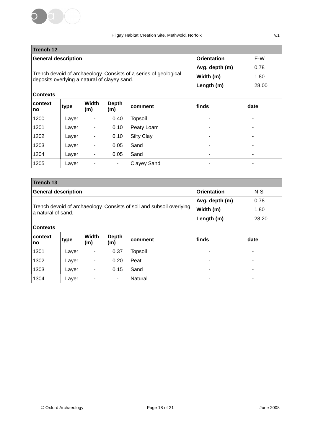

| Trench 12                                                                                                        |       |                     |                     |                        |                |      |   |
|------------------------------------------------------------------------------------------------------------------|-------|---------------------|---------------------|------------------------|----------------|------|---|
| <b>General description</b>                                                                                       |       |                     |                     | <b>Orientation</b>     |                |      |   |
|                                                                                                                  |       |                     |                     | Avg. depth (m)<br>0.78 |                |      |   |
| Trench devoid of archaeology. Consists of a series of geological<br>deposits overlying a natural of clayey sand. |       |                     | Width (m)           |                        | 1.80           |      |   |
|                                                                                                                  |       |                     |                     | Length (m)<br>28.00    |                |      |   |
| <b>Contexts</b>                                                                                                  |       |                     |                     |                        |                |      |   |
| context<br>no                                                                                                    | type  | <b>Width</b><br>(m) | <b>Depth</b><br>(m) | comment                | finds          | date |   |
| 1200                                                                                                             | Layer |                     | 0.40                | Topsoil                |                |      |   |
| 1201                                                                                                             | Layer | ۰                   | 0.10                | Peaty Loam             | ۰              |      | ۰ |
| 1202                                                                                                             | Layer | -                   | 0.10                | Silty Clay             |                |      |   |
| 1203                                                                                                             | Layer | -                   | 0.05                | Sand                   |                |      |   |
| 1204                                                                                                             | Layer | $\blacksquare$      | 0.05                | Sand                   | $\blacksquare$ |      |   |
| 1205                                                                                                             | Layer | $\blacksquare$      | ۰.                  | <b>Clayey Sand</b>     |                |      |   |

| <b>Trench 13</b>                                                                           |       |                     |                    |                |                |      |  |
|--------------------------------------------------------------------------------------------|-------|---------------------|--------------------|----------------|----------------|------|--|
| <b>General description</b>                                                                 |       |                     | <b>Orientation</b> | $N-S$          |                |      |  |
|                                                                                            |       |                     | Avg. depth (m)     | 0.78           |                |      |  |
| Trench devoid of archaeology. Consists of soil and subsoil overlying<br>a natural of sand. |       |                     | Width (m)          | 1.80           |                |      |  |
|                                                                                            |       |                     | Length (m)         | 28.20          |                |      |  |
| <b>Contexts</b>                                                                            |       |                     |                    |                |                |      |  |
| context<br>no                                                                              | type  | <b>Width</b><br>(m) | Depth<br>(m)       | comment        | finds          | date |  |
| 1301                                                                                       | Layer |                     | 0.37               | <b>Topsoil</b> |                |      |  |
| 1302                                                                                       | Layer |                     | 0.20               | Peat           |                |      |  |
| 1303                                                                                       | Layer | ۰                   | 0.15               | Sand           | $\blacksquare$ |      |  |
| 1304                                                                                       | Layer |                     | ۰.                 | Natural        |                |      |  |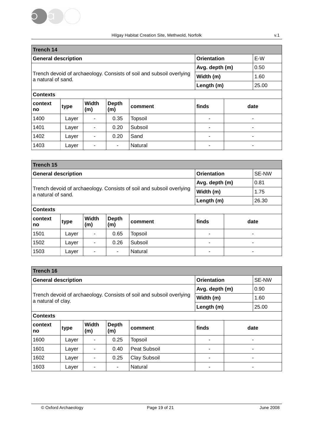

| <b>Trench 14</b>                                                                           |       |                          |                     |                |       |      |  |
|--------------------------------------------------------------------------------------------|-------|--------------------------|---------------------|----------------|-------|------|--|
| <b>General description</b>                                                                 |       |                          | <b>Orientation</b>  | E-W            |       |      |  |
|                                                                                            |       |                          | Avg. depth (m)      | 0.50           |       |      |  |
| Trench devoid of archaeology. Consists of soil and subsoil overlying<br>a natural of sand. |       |                          | Width (m)           | 1.60           |       |      |  |
|                                                                                            |       |                          | Length (m)          | 25.00          |       |      |  |
| <b>Contexts</b>                                                                            |       |                          |                     |                |       |      |  |
| context<br>no                                                                              | type  | <b>Width</b><br>(m)      | <b>Depth</b><br>(m) | comment        | finds | date |  |
| 1400                                                                                       | Layer | $\overline{\phantom{a}}$ | 0.35                | <b>Topsoil</b> |       | -    |  |
| 1401                                                                                       | Layer | ٠                        | 0.20                | Subsoil        | ۰     | ۰    |  |
| 1402                                                                                       | Layer | ۰                        | 0.20                | Sand           |       |      |  |
| 1403                                                                                       | Layer | ۰                        | ۰                   | Natural        |       |      |  |

| Trench 15                                                                                  |       |                     |                             |                |       |      |  |
|--------------------------------------------------------------------------------------------|-------|---------------------|-----------------------------|----------------|-------|------|--|
| <b>General description</b>                                                                 |       |                     | <b>Orientation</b>          |                | SE-NW |      |  |
|                                                                                            |       |                     | Avg. depth (m)<br>Width (m) |                | 0.81  |      |  |
| Trench devoid of archaeology. Consists of soil and subsoil overlying<br>a natural of sand. |       |                     |                             |                | 1.75  |      |  |
|                                                                                            |       |                     | Length (m)                  |                | 26.30 |      |  |
| <b>Contexts</b>                                                                            |       |                     |                             |                |       |      |  |
| context<br>no                                                                              | type  | <b>Width</b><br>(m) | <b>Depth</b><br>(m)         | comment        | finds | date |  |
| 1501                                                                                       | Layer |                     | 0.65                        | <b>Topsoil</b> |       |      |  |
| 1502                                                                                       | Layer |                     | 0.26                        | Subsoil        |       |      |  |
| 1503                                                                                       | Layer |                     | ۰                           | Natural        |       |      |  |

| <b>Trench 16</b>                                                                           |       |                          |                    |                     |                |       |  |
|--------------------------------------------------------------------------------------------|-------|--------------------------|--------------------|---------------------|----------------|-------|--|
| <b>General description</b>                                                                 |       |                          | <b>Orientation</b> |                     | SE-NW          |       |  |
|                                                                                            |       |                          | Avg. depth (m)     |                     | 0.90           |       |  |
| Trench devoid of archaeology. Consists of soil and subsoil overlying<br>a natural of clay. |       |                          | Width (m)          |                     | 1.60           |       |  |
|                                                                                            |       |                          |                    | Length (m)          |                | 25.00 |  |
| <b>Contexts</b>                                                                            |       |                          |                    |                     |                |       |  |
| context<br>no                                                                              | type  | <b>Width</b><br>(m)      | Depth<br>(m)       | comment             | finds          | date  |  |
| 1600                                                                                       | Layer | $\overline{\phantom{a}}$ | 0.25               | <b>Topsoil</b>      | $\blacksquare$ | ۰     |  |
| 1601                                                                                       | Layer |                          | 0.40               | <b>Peat Subsoil</b> |                |       |  |
| 1602                                                                                       | Layer | ٠                        | 0.25               | Clay Subsoil        | ۰              |       |  |
| 1603                                                                                       | Layer |                          | ٠                  | Natural             |                | ۰     |  |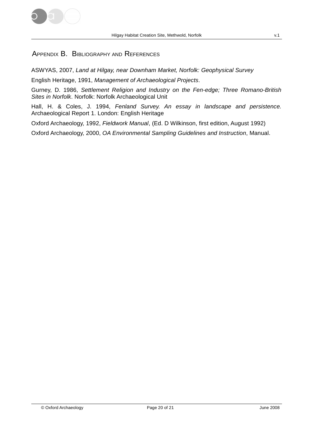

### APPENDIX B. BIBLIOGRAPHY AND REFERENCES

ASWYAS, 2007, Land at Hilgay, near Downham Market, Norfolk: Geophysical Survey

English Heritage, 1991, Management of Archaeological Projects.

Gurney, D. 1986, Settlement Religion and Industry on the Fen-edge; Three Romano-British Sites in Norfolk. Norfolk: Norfolk Archaeological Unit

Hall, H. & Coles, J. 1994, Fenland Survey. An essay in landscape and persistence. Archaeological Report 1. London: English Heritage

Oxford Archaeology, 1992, Fieldwork Manual, (Ed. D Wilkinson, first edition, August 1992)

Oxford Archaeology, 2000, OA Environmental Sampling Guidelines and Instruction, Manual.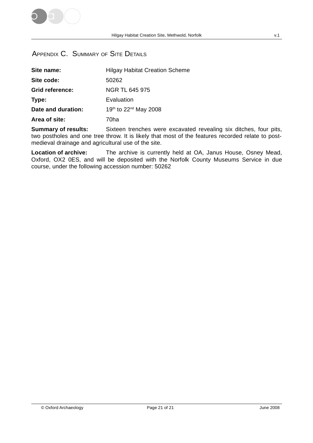

# APPENDIX C. SUMMARY OF SITE DETAILS

| Site name:             | <b>Hilgay Habitat Creation Scheme</b> |
|------------------------|---------------------------------------|
| Site code:             | 50262                                 |
| <b>Grid reference:</b> | NGR TL 645 975                        |
| Type:                  | Evaluation                            |
| Date and duration:     | 19th to 22 <sup>nd</sup> May 2008     |
| Area of site:          | 70ha                                  |

**Summary of results:** Sixteen trenches were excavated revealing six ditches, four pits, two postholes and one tree throw. It is likely that most of the features recorded relate to postmedieval drainage and agricultural use of the site.

**Location of archive:** The archive is currently held at OA, Janus House, Osney Mead, Oxford, OX2 0ES, and will be deposited with the Norfolk County Museums Service in due course, under the following accession number: 50262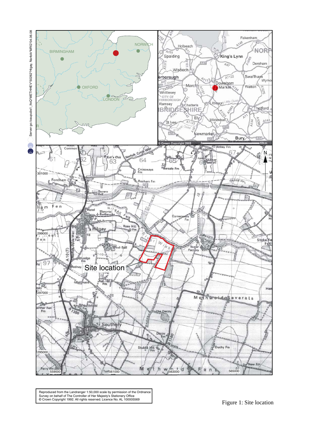

495000 Reproduced from the Landranger 1:50,000 scale by permission of the Ordnance<br>Survey on behalf of The Controller of Her Majesty's Stationery Office<br>© Crown Copyright 1992. All rights reserved. Licence No. AL 100005569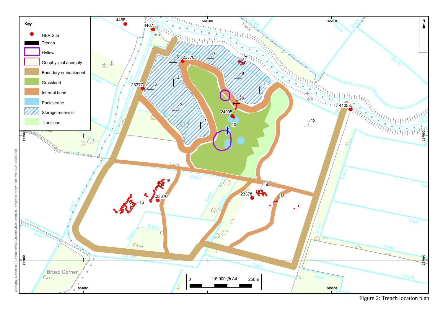

Figure 2: Trench location plan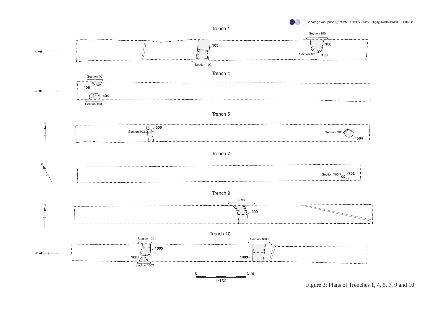



Figure 3: Plans of Trenches 1, 4, 5, 7, 9 and 10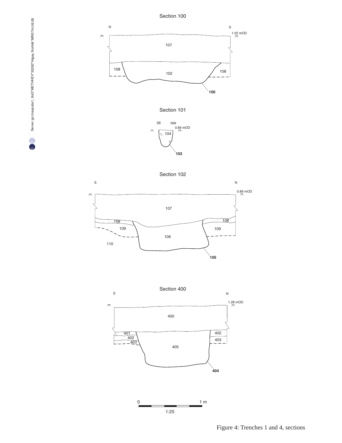

Section 102





 $1:25$ 

Figure 4: Trenches 1 and 4, sections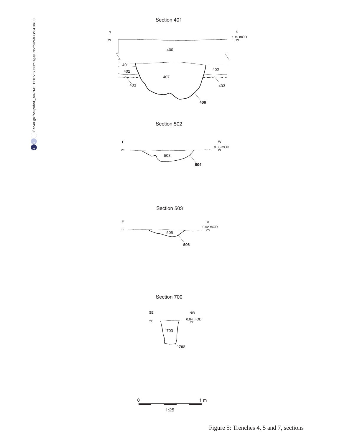

Section 700





Figure 5: Trenches 4, 5 and 7, sections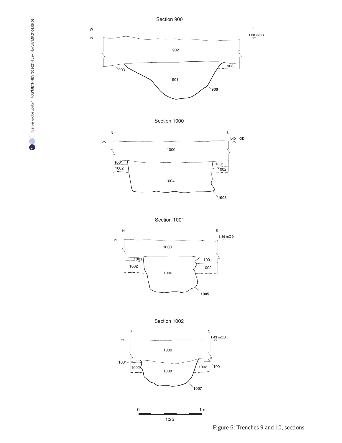